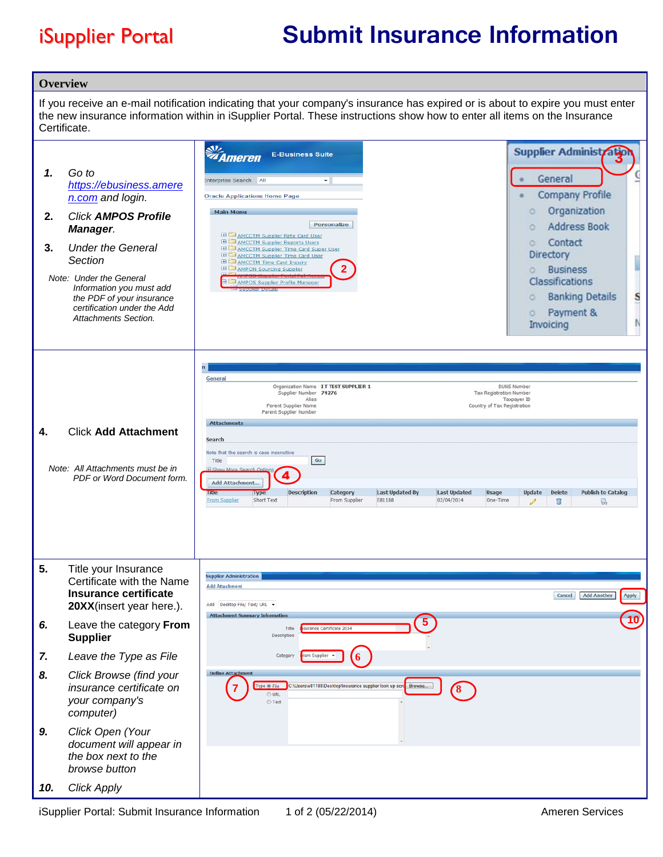## iSupplier Portal **Submit Insurance Information**

| <b>Overview</b> |                                                                                                                                                                                                                                                                                  |                                                                                                                                                                                                                                                                                                                                                                                                                                                                                                                                                                                                                                                                                                                                                                   |
|-----------------|----------------------------------------------------------------------------------------------------------------------------------------------------------------------------------------------------------------------------------------------------------------------------------|-------------------------------------------------------------------------------------------------------------------------------------------------------------------------------------------------------------------------------------------------------------------------------------------------------------------------------------------------------------------------------------------------------------------------------------------------------------------------------------------------------------------------------------------------------------------------------------------------------------------------------------------------------------------------------------------------------------------------------------------------------------------|
|                 | Certificate.                                                                                                                                                                                                                                                                     | If you receive an e-mail notification indicating that your company's insurance has expired or is about to expire you must enter<br>the new insurance information within in iSupplier Portal. These instructions show how to enter all items on the Insurance                                                                                                                                                                                                                                                                                                                                                                                                                                                                                                      |
| 1.<br>2.<br>3.  | Go to<br>https://ebusiness.amere<br>n.com and login.<br><b>Click AMPOS Profile</b><br>Manager.<br><b>Under the General</b><br>Section<br>Note: Under the General<br>Information you must add<br>the PDF of your insurance<br>certification under the Add<br>Attachments Section. | 处<br><b>Supplier Administratio</b><br><b>E-Business Suite</b><br><b><i><i>Ameren</i></i></b><br>G<br>General<br>All<br>Enterprise Search<br>٠<br><b>Company Profile</b><br><b>Oracle Applications Home Page</b><br>Organization<br>o<br><b>Main Menu</b><br><b>Personalize</b><br><b>Address Book</b><br>$\circ$<br><b>ED AMCCTM Supplier Rate Card User</b><br>Contact<br><b>ED AMCCTM Supplier Reports Users</b><br>ö.<br><b>ED AMCCTM Supplier Time Card Super User</b><br>Directory<br><b>ED AMCCTM Supplier Time Card User</b><br>I<br>E CAMCCTM Time Card Inquiry<br><b>ED</b> AMPON Sourcing Supplier<br><b>Business</b><br>ö<br>Classifications<br>AMPOS Supplier Profile Manager<br>S<br><b>Banking Details</b><br>o<br>Payment &<br>o<br>N<br>Invoicing |
| 4.              | <b>Click Add Attachment</b><br>Note: All Attachments must be in<br>PDF or Word Document form.                                                                                                                                                                                    | General<br><b>DUNS Number</b><br>Organization Name IT TEST SUPPLIER 1<br>Supplier Number 74276<br>Tax Registration Number<br>Alias<br>Taxpayer ID<br>Parent Supplier Name<br>Country of Tax Registration<br>Parent Supplier Number<br><b>Attachments</b><br>Search<br>Note that the search is case insensitive<br>Go<br>Title<br><b>H</b> Show More Search Ontion<br>Add Attachment<br><b>Description</b><br><b>Last Updated By</b><br><b>Last Updated</b><br>Usage<br><b>Update</b><br><b>Delete</b><br><b>Publish to Catalog</b><br>Category<br>Intie<br><b>Type</b><br>02/04/2014<br>From Supplier<br>E81188<br>One-Time<br>From Supplier<br>Short Text<br>ū<br>P<br>$\mathbb{Q}$                                                                              |
| 5.              | Title your Insurance<br>Certificate with the Name<br><b>Insurance certificate</b><br>20XX(insert year here.).                                                                                                                                                                    | <b>Supplier Administration</b><br><b>Add Attachment</b><br><b>Add Another</b><br><b>Cancel</b><br>Apply<br>Desktop File/ Text/ URL ▼<br>Add<br><b>Attachment Summary Information</b>                                                                                                                                                                                                                                                                                                                                                                                                                                                                                                                                                                              |
| 6.              | Leave the category From<br><b>Supplier</b>                                                                                                                                                                                                                                       | urance Certificate 2014<br>Title<br>Description                                                                                                                                                                                                                                                                                                                                                                                                                                                                                                                                                                                                                                                                                                                   |
| 7.              | Leave the Type as File                                                                                                                                                                                                                                                           | Category<br>om Supplier                                                                                                                                                                                                                                                                                                                                                                                                                                                                                                                                                                                                                                                                                                                                           |
| 8.              | Click Browse (find your<br>insurance certificate on<br>your company's<br>computer)                                                                                                                                                                                               | Define Attachmen<br>C:\Users\e81188\Desktop\Insurance supplier look up scre<br>Browse.<br>Type O File<br>$\mathbf{8}$<br>O URL<br>◯ Text                                                                                                                                                                                                                                                                                                                                                                                                                                                                                                                                                                                                                          |
| 9.              | Click Open (Your<br>document will appear in<br>the box next to the<br>browse button                                                                                                                                                                                              |                                                                                                                                                                                                                                                                                                                                                                                                                                                                                                                                                                                                                                                                                                                                                                   |
| 10.             | <b>Click Apply</b>                                                                                                                                                                                                                                                               |                                                                                                                                                                                                                                                                                                                                                                                                                                                                                                                                                                                                                                                                                                                                                                   |